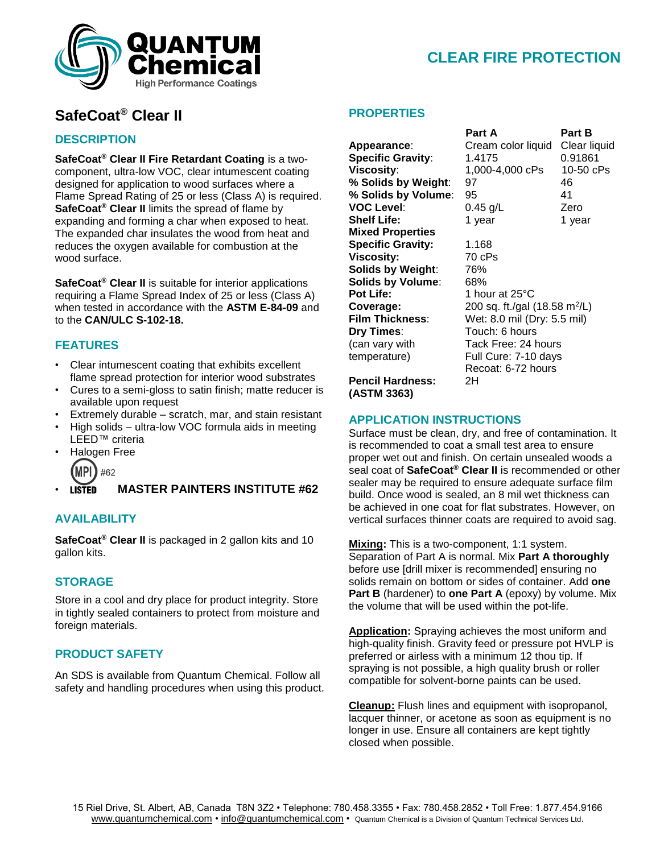

# **CLEAR FIRE PROTECTION**

## **SafeCoat® Clear II**

### **DESCRIPTION**

**SafeCoat® Clear II Fire Retardant Coating** is a twocomponent, ultra-low VOC, clear intumescent coating designed for application to wood surfaces where a Flame Spread Rating of 25 or less (Class A) is required. **SafeCoat® Clear II** limits the spread of flame by expanding and forming a char when exposed to heat. The expanded char insulates the wood from heat and reduces the oxygen available for combustion at the wood surface.

**SafeCoat® Clear II** is suitable for interior applications requiring a Flame Spread Index of 25 or less (Class A) when tested in accordance with the **ASTM E-84-09** and to the **CAN/ULC S-102-18.**

## **FEATURES**

- Clear intumescent coating that exhibits excellent flame spread protection for interior wood substrates
- Cures to a semi-gloss to satin finish; matte reducer is available upon request
- Extremely durable scratch, mar, and stain resistant
- High solids ultra-low VOC formula aids in meeting LEED™ criteria
- Halogen Free



• **MASTER PAINTERS INSTITUTE #62**

### **AVAILABILITY**

**SafeCoat® Clear II** is packaged in 2 gallon kits and 10 gallon kits.

#### **STORAGE**

Store in a cool and dry place for product integrity. Store in tightly sealed containers to protect from moisture and foreign materials.

### **PRODUCT SAFETY**

An SDS is available from Quantum Chemical. Follow all safety and handling procedures when using this product.

#### **PROPERTIES**

% Solids by Volume: 95 **Mixed Properties Specific Gravity:** 1.168 **Viscosity:** 70 cPs **Solids by Weight**: 76% **Solids by Volume**: 68% **Pot Life:** 1 hour at 25°C **Dry Times:** Touch: 6 hours

 **Part A Part B Appearance**: Cream color liquid Clear liquid **Specific Gravity**: 1.4175 0.91861 **Viscosity:** 1,000-4,000 cPs 10-50 cPs **% Solids by Weight**: 97 46 **VOC Level:** 0.45 g/L Zero **Shelf Life:** 1 year 1 year 1 year **Coverage:** 200 sq. ft./gal (18.58 m<sup>2</sup>/L) **Film Thickness**: Wet: 8.0 mil (Dry: 5.5 mil) (can vary with Tack Free: 24 hours temperature) Full Cure: 7-10 days Recoat: 6-72 hours

**Pencil Hardness:** 2H **(ASTM 3363)**

#### **APPLICATION INSTRUCTIONS**

Surface must be clean, dry, and free of contamination. It is recommended to coat a small test area to ensure proper wet out and finish. On certain unsealed woods a seal coat of **SafeCoat® Clear II** is recommended or other sealer may be required to ensure adequate surface film build. Once wood is sealed, an 8 mil wet thickness can be achieved in one coat for flat substrates. However, on vertical surfaces thinner coats are required to avoid sag.

**Mixing:** This is a two-component, 1:1 system. Separation of Part A is normal. Mix **Part A thoroughly** before use [drill mixer is recommended] ensuring no solids remain on bottom or sides of container. Add **one Part B** (hardener) to **one Part A** (epoxy) by volume. Mix the volume that will be used within the pot-life.

**Application:** Spraying achieves the most uniform and high-quality finish. Gravity feed or pressure pot HVLP is preferred or airless with a minimum 12 thou tip. If spraying is not possible, a high quality brush or roller compatible for solvent-borne paints can be used.

**Cleanup:** Flush lines and equipment with isopropanol, lacquer thinner, or acetone as soon as equipment is no longer in use. Ensure all containers are kept tightly closed when possible.